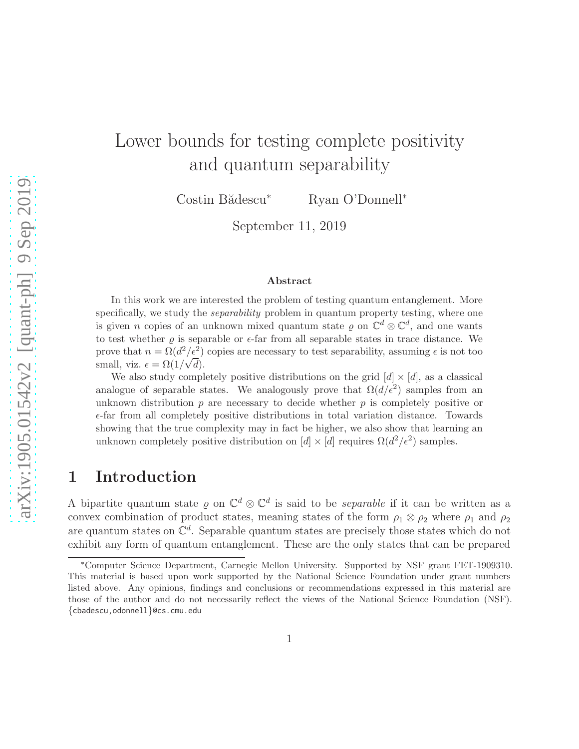# Lower bounds for testing complete positivity and quantum separability

Costin Bădescu<sup>∗</sup> Ryan O'Donnell<sup>∗</sup>

September 11, 2019

#### Abstract

In this work we are interested the problem of testing quantum entanglement. More specifically, we study the *separability* problem in quantum property testing, where one is given *n* copies of an unknown mixed quantum state  $\varrho$  on  $\mathbb{C}^d \otimes \mathbb{C}^d$ , and one wants to test whether  $\rho$  is separable or  $\epsilon$ -far from all separable states in trace distance. We prove that  $n = \Omega(d^2/\epsilon^2)$  copies are necessary to test separability, assuming  $\epsilon$  is not too small, viz.  $\epsilon = \Omega(1/\sqrt{d}).$ 

We also study completely positive distributions on the grid  $[d] \times [d]$ , as a classical analogue of separable states. We analogously prove that  $\Omega(d/\epsilon^2)$  samples from an unknown distribution  $p$  are necessary to decide whether  $p$  is completely positive or  $\epsilon$ -far from all completely positive distributions in total variation distance. Towards showing that the true complexity may in fact be higher, we also show that learning an unknown completely positive distribution on  $[d] \times [d]$  requires  $\Omega(d^2/\epsilon^2)$  samples.

### 1 Introduction

A bipartite quantum state  $\varrho$  on  $\mathbb{C}^d \otimes \mathbb{C}^d$  is said to be *separable* if it can be written as a convex combination of product states, meaning states of the form  $\rho_1 \otimes \rho_2$  where  $\rho_1$  and  $\rho_2$ are quantum states on  $\mathbb{C}^d$ . Separable quantum states are precisely those states which do not exhibit any form of quantum entanglement. These are the only states that can be prepared

<sup>∗</sup>Computer Science Department, Carnegie Mellon University. Supported by NSF grant FET-1909310. This material is based upon work supported by the National Science Foundation under grant numbers listed above. Any opinions, findings and conclusions or recommendations expressed in this material are those of the author and do not necessarily reflect the views of the National Science Foundation (NSF). {cbadescu,odonnell}@cs.cmu.edu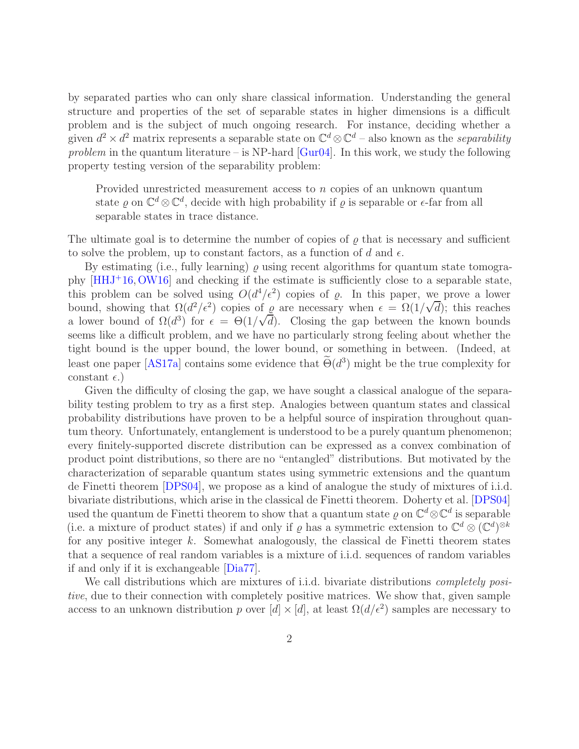<span id="page-1-0"></span>by separated parties who can only share classical information. Understanding the general structure and properties of the set of separable states in higher dimensions is a difficult problem and is the subject of much ongoing research. For instance, deciding whether a given  $d^2 \times d^2$  matrix represents a separable state on  $\mathbb{C}^d \otimes \mathbb{C}^d$  – also known as the *separability* problem in the quantum literature – is NP-hard  $[Gur04]$ . In this work, we study the following property testing version of the separability problem:

Provided unrestricted measurement access to n copies of an unknown quantum state  $\varrho$  on  $\mathbb{C}^d \otimes \mathbb{C}^d$ , decide with high probability if  $\varrho$  is separable or  $\epsilon$ -far from all separable states in trace distance.

The ultimate goal is to determine the number of copies of  $\rho$  that is necessary and sufficient to solve the problem, up to constant factors, as a function of d and  $\epsilon$ .

By estimating (i.e., fully learning)  $\rho$  using recent algorithms for quantum state tomography [\[HHJ](#page-18-1)<sup>+</sup>16,[OW16\]](#page-18-2) and checking if the estimate is sufficiently close to a separable state, this problem can be solved using  $O(d^4/\epsilon^2)$  copies of  $\varrho$ . In this paper, we prove a lower bound, showing that  $\Omega(d^2/\epsilon^2)$  copies of  $\varrho$  are necessary when  $\epsilon = \Omega(1/\sqrt{d})$ ; this reaches a lower bound of  $\Omega(d^3)$  for  $\epsilon = \Theta(1/\sqrt{d})$ . Closing the gap between the known bounds seems like a difficult problem, and we have no particularly strong feeling about whether the tight bound is the upper bound, the lower bound, or something in between. (Indeed, at least one paper [\[AS17a\]](#page-17-0) contains some evidence that  $\Theta(d^3)$  might be the true complexity for constant  $\epsilon$ .)

Given the difficulty of closing the gap, we have sought a classical analogue of the separability testing problem to try as a first step. Analogies between quantum states and classical probability distributions have proven to be a helpful source of inspiration throughout quantum theory. Unfortunately, entanglement is understood to be a purely quantum phenomenon; every finitely-supported discrete distribution can be expressed as a convex combination of product point distributions, so there are no "entangled" distributions. But motivated by the characterization of separable quantum states using symmetric extensions and the quantum de Finetti theorem [\[DPS04\]](#page-17-1), we propose as a kind of analogue the study of mixtures of i.i.d. bivariate distributions, which arise in the classical de Finetti theorem. Doherty et al. [\[DPS04\]](#page-17-1) used the quantum de Finetti theorem to show that a quantum state  $\varrho$  on  $\mathbb{C}^d \otimes \mathbb{C}^d$  is separable (i.e. a mixture of product states) if and only if  $\varrho$  has a symmetric extension to  $\mathbb{C}^d \otimes (\mathbb{C}^d)^{\otimes k}$ for any positive integer  $k$ . Somewhat analogously, the classical de Finetti theorem states that a sequence of real random variables is a mixture of i.i.d. sequences of random variables if and only if it is exchangeable [\[Dia77\]](#page-17-2).

We call distributions which are mixtures of i.i.d. bivariate distributions *completely posi*tive, due to their connection with completely positive matrices. We show that, given sample access to an unknown distribution p over  $[d] \times [d]$ , at least  $\Omega(d/\epsilon^2)$  samples are necessary to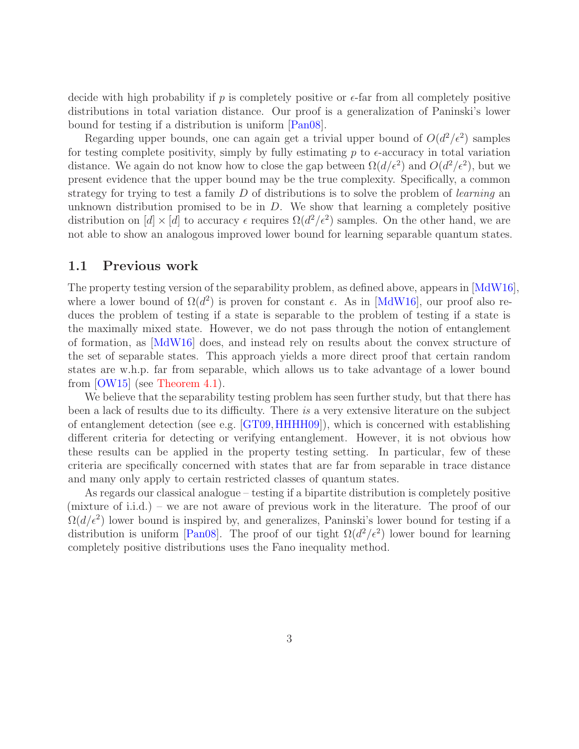<span id="page-2-0"></span>decide with high probability if p is completely positive or  $\epsilon$ -far from all completely positive distributions in total variation distance. Our proof is a generalization of Paninski's lower bound for testing if a distribution is uniform [\[Pan08\]](#page-18-3).

Regarding upper bounds, one can again get a trivial upper bound of  $O(d^2/\epsilon^2)$  samples for testing complete positivity, simply by fully estimating p to  $\epsilon$ -accuracy in total variation distance. We again do not know how to close the gap between  $\Omega(d/\epsilon^2)$  and  $O(d^2/\epsilon^2)$ , but we present evidence that the upper bound may be the true complexity. Specifically, a common strategy for trying to test a family  $D$  of distributions is to solve the problem of *learning* an unknown distribution promised to be in  $D$ . We show that learning a completely positive distribution on  $[d] \times [d]$  to accuracy  $\epsilon$  requires  $\Omega(d^2/\epsilon^2)$  samples. On the other hand, we are not able to show an analogous improved lower bound for learning separable quantum states.

#### 1.1 Previous work

The property testing version of the separability problem, as defined above, appears in [\[MdW16\]](#page-18-4), where a lower bound of  $\Omega(d^2)$  is proven for constant  $\epsilon$ . As in [\[MdW16\]](#page-18-4), our proof also reduces the problem of testing if a state is separable to the problem of testing if a state is the maximally mixed state. However, we do not pass through the notion of entanglement of formation, as [\[MdW16\]](#page-18-4) does, and instead rely on results about the convex structure of the set of separable states. This approach yields a more direct proof that certain random states are w.h.p. far from separable, which allows us to take advantage of a lower bound from [\[OW15\]](#page-18-5) (see [Theorem 4.1\)](#page-13-0).

We believe that the separability testing problem has seen further study, but that there has been a lack of results due to its difficulty. There is a very extensive literature on the subject of entanglement detection (see e.g. [\[GT09,](#page-18-6)[HHHH09\]](#page-18-7)), which is concerned with establishing different criteria for detecting or verifying entanglement. However, it is not obvious how these results can be applied in the property testing setting. In particular, few of these criteria are specifically concerned with states that are far from separable in trace distance and many only apply to certain restricted classes of quantum states.

As regards our classical analogue – testing if a bipartite distribution is completely positive (mixture of i.i.d.) – we are not aware of previous work in the literature. The proof of our  $\Omega(d/\epsilon^2)$  lower bound is inspired by, and generalizes, Paninski's lower bound for testing if a distribution is uniform [\[Pan08\]](#page-18-3). The proof of our tight  $\Omega(d^2/\epsilon^2)$  lower bound for learning completely positive distributions uses the Fano inequality method.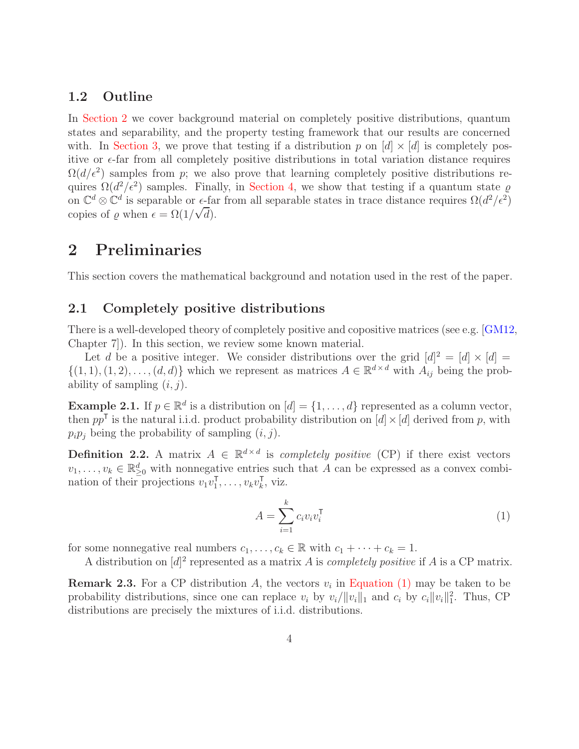#### <span id="page-3-4"></span>1.2 Outline

In [Section 2](#page-3-0) we cover background material on completely positive distributions, quantum states and separability, and the property testing framework that our results are concerned with. In [Section 3,](#page-7-0) we prove that testing if a distribution p on  $[d] \times [d]$  is completely positive or  $\epsilon$ -far from all completely positive distributions in total variation distance requires  $\Omega(d/\epsilon^2)$  samples from p; we also prove that learning completely positive distributions requires  $\Omega(d^2/\epsilon^2)$  samples. Finally, in [Section 4,](#page-13-1) we show that testing if a quantum state  $\varrho$ on  $\mathbb{C}^d \otimes \mathbb{C}^d$  is separable or  $\epsilon$ -far from all separable states in trace distance requires  $\Omega(d^2/\epsilon^2)$ copies of  $\varrho$  when  $\epsilon = \Omega(1/\sqrt{d}).$ 

### <span id="page-3-0"></span>2 Preliminaries

This section covers the mathematical background and notation used in the rest of the paper.

### 2.1 Completely positive distributions

There is a well-developed theory of completely positive and copositive matrices (see e.g. [\[GM12,](#page-17-3) Chapter 7]). In this section, we review some known material.

Let d be a positive integer. We consider distributions over the grid  $[d]^2 = [d] \times [d] =$  $\{(1, 1), (1, 2), \ldots, (d, d)\}\$  which we represent as matrices  $A \in \mathbb{R}^{d \times d}$  with  $A_{ij}$  being the probability of sampling  $(i, j)$ .

**Example 2.1.** If  $p \in \mathbb{R}^d$  is a distribution on  $[d] = \{1, \ldots, d\}$  represented as a column vector, then  $pp^{\mathsf{T}}$  is the natural i.i.d. product probability distribution on  $[d] \times [d]$  derived from p, with  $p_i p_j$  being the probability of sampling  $(i, j)$ .

<span id="page-3-2"></span>**Definition 2.2.** A matrix  $A \in \mathbb{R}^{d \times d}$  is *completely positive* (CP) if there exist vectors  $v_1, \ldots, v_k \in \mathbb{R}^d_{\geq 0}$  with nonnegative entries such that A can be expressed as a convex combination of their projections  $v_1v_1^{\mathsf{T}}$  $\overline{v}_1^{\mathsf{T}}, \ldots, v_k v_k^{\mathsf{T}}$  $\overline{k}$ , viz.

<span id="page-3-1"></span>
$$
A = \sum_{i=1}^{k} c_i v_i v_i^{\mathsf{T}}
$$
 (1)

for some nonnegative real numbers  $c_1, \ldots, c_k \in \mathbb{R}$  with  $c_1 + \cdots + c_k = 1$ .

A distribution on  $[d]^2$  represented as a matrix A is *completely positive* if A is a CP matrix.

<span id="page-3-3"></span>**Remark 2.3.** For a CP distribution A, the vectors  $v_i$  in [Equation \(1\)](#page-3-1) may be taken to be probability distributions, since one can replace  $v_i$  by  $v_i/||v_i||_1$  and  $c_i$  by  $c_i||v_i||_1^2$ . Thus, CP distributions are precisely the mixtures of i.i.d. distributions.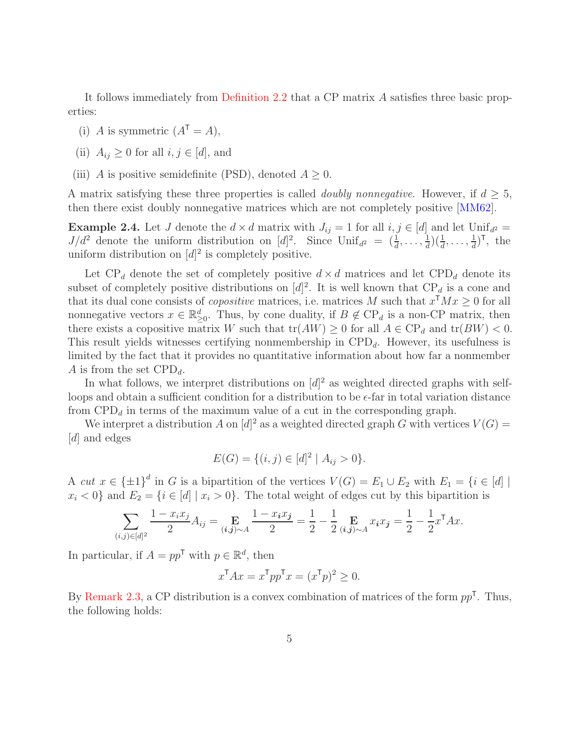<span id="page-4-0"></span>It follows immediately from [Definition 2.2](#page-3-2) that a CP matrix A satisfies three basic properties:

- (i) A is symmetric  $(A^{\mathsf{T}} = A)$ ,
- (ii)  $A_{ij} \geq 0$  for all  $i, j \in [d]$ , and
- (iii) A is positive semidefinite (PSD), denoted  $A \geq 0$ .

A matrix satisfying these three properties is called *doubly nonnegative*. However, if  $d \geq 5$ , then there exist doubly nonnegative matrices which are not completely positive [\[MM62\]](#page-18-8).

**Example 2.4.** Let J denote the  $d \times d$  matrix with  $J_{ij} = 1$  for all  $i, j \in [d]$  and let Unif<sub>d</sub><sup>2</sup> =  $J/d^2$  denote the uniform distribution on  $[d]^2$ . Since  $\text{Unif}_{d^2} = \left(\frac{1}{d}, \ldots, \frac{1}{d}\right)$  $\frac{1}{d}$ ) $(\frac{1}{d}, \ldots, \frac{1}{d})$  $\frac{1}{d}$ )<sup>T</sup>, the uniform distribution on  $[d]^2$  is completely positive.

Let  $\text{CP}_d$  denote the set of completely positive  $d \times d$  matrices and let  $\text{CPD}_d$  denote its subset of completely positive distributions on  $[d]^2$ . It is well known that  $\mathbb{CP}_d$  is a cone and that its dual cone consists of *copositive* matrices, i.e. matrices M such that  $x^{\mathsf{T}} M x \geq 0$  for all nonnegative vectors  $x \in \mathbb{R}_{\geq 0}^d$ . Thus, by cone duality, if  $B \notin \mathbb{CP}_d$  is a non-CP matrix, then there exists a copositive matrix W such that  $tr(AW) \geq 0$  for all  $A \in \mathbb{CP}_d$  and  $tr(BW) < 0$ . This result yields witnesses certifying nonmembership in  $\text{CPD}_d$ . However, its usefulness is limited by the fact that it provides no quantitative information about how far a nonmember A is from the set  $\text{CPD}_d$ .

In what follows, we interpret distributions on  $[d]^2$  as weighted directed graphs with selfloops and obtain a sufficient condition for a distribution to be  $\epsilon$ -far in total variation distance from  $\text{CPD}_d$  in terms of the maximum value of a cut in the corresponding graph.

We interpret a distribution A on  $[d]^2$  as a weighted directed graph G with vertices  $V(G)$  = [d] and edges

$$
E(G) = \{(i, j) \in [d]^2 \mid A_{ij} > 0\}.
$$

A cut  $x \in {\pm 1}^d$  in G is a bipartition of the vertices  $V(G) = E_1 \cup E_2$  with  $E_1 = \{i \in [d] \mid$  $x_i < 0$  and  $E_2 = \{i \in [d] \mid x_i > 0\}$ . The total weight of edges cut by this bipartition is

$$
\sum_{(i,j)\in[d]^2} \frac{1-x_ix_j}{2}A_{ij} = \mathop{\mathbf{E}}_{(i,j)\sim A} \frac{1-x_ix_j}{2} = \frac{1}{2} - \frac{1}{2} \mathop{\mathbf{E}}_{(i,j)\sim A} x_ix_j = \frac{1}{2} - \frac{1}{2}x^{\mathsf{T}}Ax.
$$

In particular, if  $A = pp^{\mathsf{T}}$  with  $p \in \mathbb{R}^d$ , then

$$
x^{\mathsf{T}}Ax = x^{\mathsf{T}}pp^{\mathsf{T}}x = (x^{\mathsf{T}}p)^2 \ge 0.
$$

By [Remark 2.3,](#page-3-3) a CP distribution is a convex combination of matrices of the form  $pp<sup>T</sup>$ . Thus, the following holds: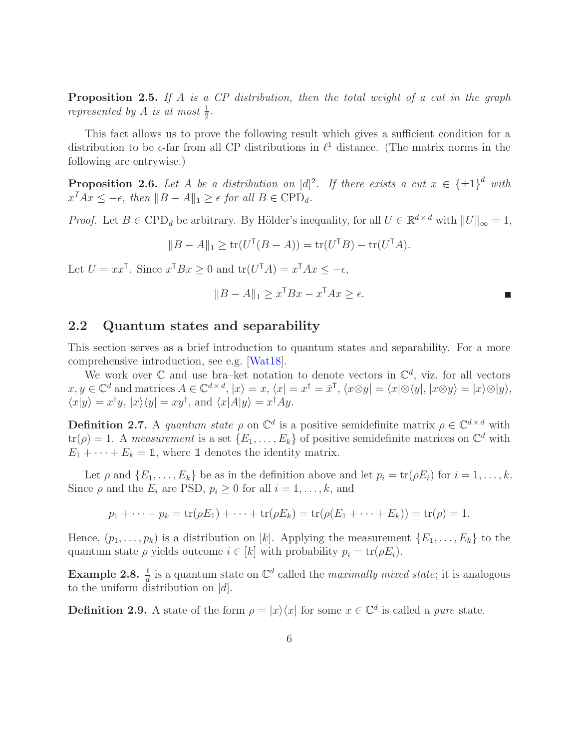<span id="page-5-1"></span>**Proposition 2.5.** If A is a CP distribution, then the total weight of a cut in the graph represented by A is at most  $\frac{1}{2}$ .

This fact allows us to prove the following result which gives a sufficient condition for a distribution to be  $\epsilon$ -far from all CP distributions in  $\ell^1$  distance. (The matrix norms in the following are entrywise.)

<span id="page-5-0"></span>**Proposition 2.6.** Let A be a distribution on  $[d]^2$ . If there exists a cut  $x \in {\pm 1}^d$  with  $x^T Ax \le -\epsilon$ , then  $||B - A||_1 \ge \epsilon$  for all  $B \in \text{CPD}_d$ .

*Proof.* Let  $B \in \text{CPD}_d$  be arbitrary. By Hölder's inequality, for all  $U \in \mathbb{R}^{d \times d}$  with  $||U||_{\infty} = 1$ ,

$$
||B - A||_1 \ge \text{tr}(U^{\mathsf{T}}(B - A)) = \text{tr}(U^{\mathsf{T}}B) - \text{tr}(U^{\mathsf{T}}A).
$$

Let  $U = xx^{\mathsf{T}}$ . Since  $x^{\mathsf{T}} Bx \geq 0$  and  $tr(U^{\mathsf{T}} A) = x^{\mathsf{T}} Ax \leq -\epsilon$ ,

$$
||B - A||_1 \ge x^{\mathsf{T}} Bx - x^{\mathsf{T}} Ax \ge \epsilon.
$$

#### 2.2 Quantum states and separability

This section serves as a brief introduction to quantum states and separability. For a more comprehensive introduction, see e.g. [\[Wat18\]](#page-18-9).

We work over  $\mathbb C$  and use bra–ket notation to denote vectors in  $\mathbb C^d$ , viz. for all vectors  $x, y \in \mathbb{C}^d$  and matrices  $A \in \mathbb{C}^{d \times d}$ ,  $|x\rangle = x$ ,  $\langle x | = x^{\dagger} = \bar{x}^{\dagger}$ ,  $\langle x \otimes y | = \langle x | \otimes \langle y |, |x \otimes y \rangle = |x \rangle \otimes |y \rangle$ ,  $\langle x|y\rangle = x^{\dagger}y, |x\rangle\langle y| = xy^{\dagger}$ , and  $\langle x|A|y\rangle = x^{\dagger}Ay$ .

**Definition 2.7.** A quantum state  $\rho$  on  $\mathbb{C}^d$  is a positive semidefinite matrix  $\rho \in \mathbb{C}^{d \times d}$  with  $tr(\rho) = 1$ . A measurement is a set  $\{E_1, \ldots, E_k\}$  of positive semidefinite matrices on  $\mathbb{C}^d$  with  $E_1 + \cdots + E_k = \mathbb{1}$ , where  $\mathbb{1}$  denotes the identity matrix.

Let  $\rho$  and  $\{E_1, \ldots, E_k\}$  be as in the definition above and let  $p_i = \text{tr}(\rho E_i)$  for  $i = 1, \ldots, k$ . Since  $\rho$  and the  $E_i$  are PSD,  $p_i \geq 0$  for all  $i = 1, \ldots, k$ , and

$$
p_1 + \cdots + p_k = \text{tr}(\rho E_1) + \cdots + \text{tr}(\rho E_k) = \text{tr}(\rho (E_1 + \cdots + E_k)) = \text{tr}(\rho) = 1.
$$

Hence,  $(p_1, \ldots, p_k)$  is a distribution on [k]. Applying the measurement  $\{E_1, \ldots, E_k\}$  to the quantum state  $\rho$  yields outcome  $i \in [k]$  with probability  $p_i = \text{tr}(\rho E_i)$ .

**Example 2.8.**  $\frac{1}{d}$  is a quantum state on  $\mathbb{C}^d$  called the *maximally mixed state*; it is analogous to the uniform distribution on [d].

**Definition 2.9.** A state of the form  $\rho = |x\rangle\langle x|$  for some  $x \in \mathbb{C}^d$  is called a *pure* state.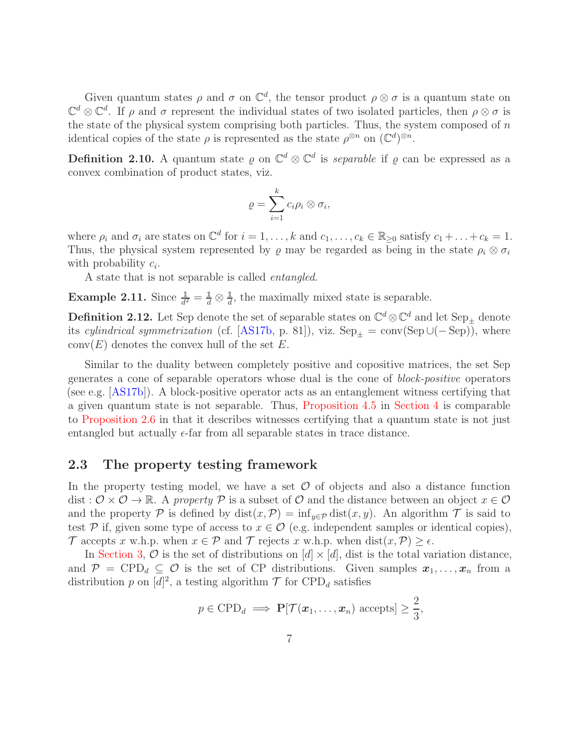<span id="page-6-0"></span>Given quantum states  $\rho$  and  $\sigma$  on  $\mathbb{C}^d$ , the tensor product  $\rho \otimes \sigma$  is a quantum state on  $\mathbb{C}^d \otimes \mathbb{C}^d$ . If  $\rho$  and  $\sigma$  represent the individual states of two isolated particles, then  $\rho \otimes \sigma$  is the state of the physical system comprising both particles. Thus, the system composed of  $n$ identical copies of the state  $\rho$  is represented as the state  $\rho^{\otimes n}$  on  $(\mathbb{C}^d)^{\otimes n}$ .

**Definition 2.10.** A quantum state  $\varrho$  on  $\mathbb{C}^d \otimes \mathbb{C}^d$  is *separable* if  $\varrho$  can be expressed as a convex combination of product states, viz.

$$
\varrho=\sum_{i=1}^k c_i\rho_i\otimes\sigma_i,
$$

where  $\rho_i$  and  $\sigma_i$  are states on  $\mathbb{C}^d$  for  $i = 1, \ldots, k$  and  $c_1, \ldots, c_k \in \mathbb{R}_{\geq 0}$  satisfy  $c_1 + \ldots + c_k = 1$ . Thus, the physical system represented by  $\varrho$  may be regarded as being in the state  $\rho_i \otimes \sigma_i$ with probability  $c_i$ .

A state that is not separable is called entangled.

**Example 2.11.** Since  $\frac{1}{d^2} = \frac{1}{d} \otimes \frac{1}{d}$ , the maximally mixed state is separable.

**Definition 2.12.** Let Sep denote the set of separable states on  $\mathbb{C}^d \otimes \mathbb{C}^d$  and let  $\text{Sep}_{\pm}$  denote its cylindrical symmetrization (cf. [\[AS17b,](#page-17-4) p. 81]), viz.  $\text{Sep}_{\pm} = \text{conv}(\text{Sep}\cup(-\text{Sep})$ , where  $conv(E)$  denotes the convex hull of the set E.

Similar to the duality between completely positive and copositive matrices, the set Sep generates a cone of separable operators whose dual is the cone of block-positive operators (see e.g. [\[AS17b\]](#page-17-4)). A block-positive operator acts as an entanglement witness certifying that a given quantum state is not separable. Thus, [Proposition 4.5](#page-14-0) in [Section 4](#page-13-1) is comparable to [Proposition 2.6](#page-5-0) in that it describes witnesses certifying that a quantum state is not just entangled but actually  $\epsilon$ -far from all separable states in trace distance.

#### 2.3 The property testing framework

In the property testing model, we have a set  $\mathcal O$  of objects and also a distance function dist :  $\mathcal{O} \times \mathcal{O} \to \mathbb{R}$ . A property P is a subset of  $\mathcal{O}$  and the distance between an object  $x \in \mathcal{O}$ and the property P is defined by  $dist(x, \mathcal{P}) = inf_{y \in \mathcal{P}} dist(x, y)$ . An algorithm T is said to test P if, given some type of access to  $x \in \mathcal{O}$  (e.g. independent samples or identical copies), T accepts x w.h.p. when  $x \in \mathcal{P}$  and T rejects x w.h.p. when  $dist(x, \mathcal{P}) \geq \epsilon$ .

In [Section 3,](#page-7-0)  $\mathcal O$  is the set of distributions on  $[d] \times [d]$ , dist is the total variation distance, and  $\mathcal{P} = \text{CPD}_d \subseteq \mathcal{O}$  is the set of CP distributions. Given samples  $x_1, \ldots, x_n$  from a distribution p on  $[d]^2$ , a testing algorithm  $\mathcal T$  for  $\text{CPD}_d$  satisfies

$$
p \in \text{CPD}_d \implies \mathbf{P}[\mathcal{T}(\boldsymbol{x}_1,\ldots,\boldsymbol{x}_n) \text{ accepts}] \geq \frac{2}{3},
$$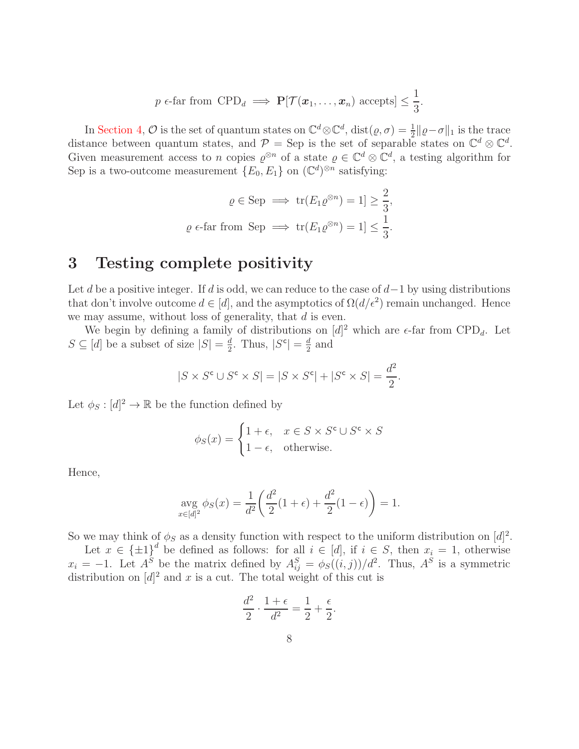$$
p \in \text{far from } \text{CPD}_d \implies \mathbf{P}[\mathcal{T}(\boldsymbol{x}_1,\ldots,\boldsymbol{x}_n) \text{ accepts}] \leq \frac{1}{3}.
$$

In [Section 4,](#page-13-1)  $\mathcal O$  is the set of quantum states on  $\mathbb C^d \otimes \mathbb C^d$ ,  $dist(\varrho, \sigma) = \frac{1}{2} ||\varrho - \sigma||_1$  is the trace distance between quantum states, and  $\mathcal{P} = \text{Sep}$  is the set of separable states on  $\mathbb{C}^d \otimes \mathbb{C}^d$ . Given measurement access to n copies  $\varrho^{\otimes n}$  of a state  $\varrho \in \mathbb{C}^d \otimes \mathbb{C}^d$ , a testing algorithm for Sep is a two-outcome measurement  $\{E_0, E_1\}$  on  $(\mathbb{C}^d)^{\otimes n}$  satisfying:

$$
\varrho \in \text{Sep} \implies \text{tr}(E_1 \varrho^{\otimes n}) = 1] \ge \frac{2}{3},
$$
  

$$
\varrho \in \text{far from } \text{Sep} \implies \text{tr}(E_1 \varrho^{\otimes n}) = 1] \le \frac{1}{3}.
$$

### <span id="page-7-0"></span>3 Testing complete positivity

Let d be a positive integer. If d is odd, we can reduce to the case of  $d-1$  by using distributions that don't involve outcome  $d \in [d]$ , and the asymptotics of  $\Omega(d/\epsilon^2)$  remain unchanged. Hence we may assume, without loss of generality, that  $d$  is even.

We begin by defining a family of distributions on  $[d]^2$  which are  $\epsilon$ -far from CPD<sub>d</sub>. Let  $S \subseteq [d]$  be a subset of size  $|S| = \frac{d}{2}$  $\frac{d}{2}$ . Thus,  $|S^c| = \frac{d}{2}$  $\frac{d}{2}$  and

$$
|S \times S^{\mathsf{c}} \cup S^{\mathsf{c}} \times S| = |S \times S^{\mathsf{c}}| + |S^{\mathsf{c}} \times S| = \frac{d^2}{2}.
$$

Let  $\phi_S : [d]^2 \to \mathbb{R}$  be the function defined by

$$
\phi_S(x) = \begin{cases} 1 + \epsilon, & x \in S \times S^c \cup S^c \times S \\ 1 - \epsilon, & \text{otherwise.} \end{cases}
$$

Hence,

$$
\underset{x \in [d]^2}{\text{avg }} \phi_S(x) = \frac{1}{d^2} \left( \frac{d^2}{2} (1 + \epsilon) + \frac{d^2}{2} (1 - \epsilon) \right) = 1.
$$

So we may think of  $\phi_S$  as a density function with respect to the uniform distribution on  $[d]^2$ .

Let  $x \in {\pm 1}^d$  be defined as follows: for all  $i \in [d]$ , if  $i \in S$ , then  $x_i = 1$ , otherwise  $x_i = -1$ . Let  $A^S$  be the matrix defined by  $A^S_{ij} = \phi_S((i,j))/d^2$ . Thus,  $A^S$  is a symmetric distribution on  $[d]^2$  and x is a cut. The total weight of this cut is

$$
\frac{d^2}{2} \cdot \frac{1+\epsilon}{d^2} = \frac{1}{2} + \frac{\epsilon}{2}.
$$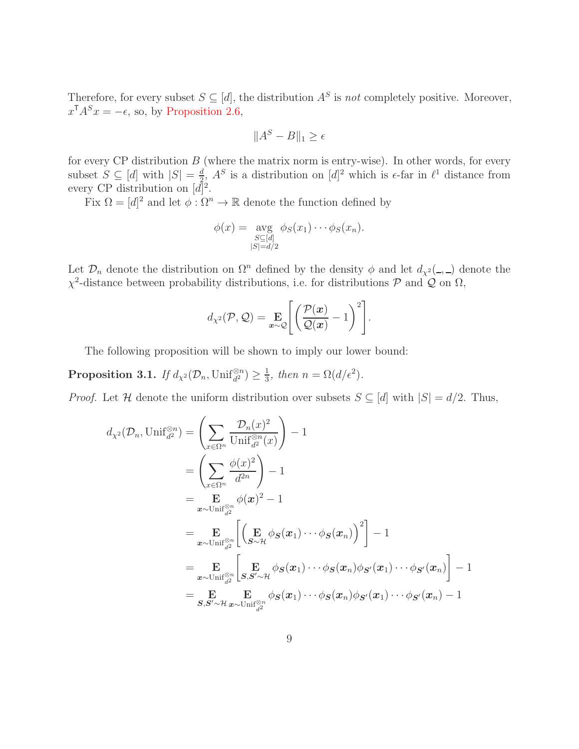Therefore, for every subset  $S \subseteq [d]$ , the distribution  $A^S$  is not completely positive. Moreover,  $x^{\mathsf{T}} A^S x = -\epsilon$ , so, by [Proposition 2.6,](#page-5-0)

$$
||A^S - B||_1 \ge \epsilon
$$

for every CP distribution  $B$  (where the matrix norm is entry-wise). In other words, for every subset  $S \subseteq [d]$  with  $|S| = \frac{d}{2}$  $\frac{d}{2}$ ,  $A^S$  is a distribution on  $[d]^2$  which is  $\epsilon$ -far in  $\ell^1$  distance from every CP distribution on  $[d]^2$ .

Fix  $\Omega = [d]^2$  and let  $\phi : \Omega^n \to \mathbb{R}$  denote the function defined by

$$
\phi(x) = \underset{\substack{S \subseteq [d] \\ |S| = d/2}}{\text{avg}} \phi_S(x_1) \cdots \phi_S(x_n).
$$

Let  $\mathcal{D}_n$  denote the distribution on  $\Omega^n$  defined by the density  $\phi$  and let  $d_{\chi^2}(\_,\_)$  denote the  $\chi^2$ -distance between probability distributions, i.e. for distributions  $\mathcal{P}$  and  $\mathcal{Q}$  on  $\Omega$ ,

$$
d_{\chi^2}(\mathcal{P}, \mathcal{Q}) = \mathop{\mathbf{E}}_{\boldsymbol{x}\sim\mathcal{Q}} \left[ \left( \frac{\mathcal{P}(\boldsymbol{x})}{\mathcal{Q}(\boldsymbol{x})} - 1 \right)^2 \right].
$$

<span id="page-8-0"></span>The following proposition will be shown to imply our lower bound:

Proposition 3.1. If  $d_{\chi^2}(\mathcal{D}_n, \mathrm{Unif}_{d^2}^{\otimes n}) \geq \frac{1}{3}$  $\frac{1}{3}$ , then  $n = \Omega(d/\epsilon^2)$ .

*Proof.* Let H denote the uniform distribution over subsets  $S \subseteq [d]$  with  $|S| = d/2$ . Thus,

$$
d_{\chi^2}(\mathcal{D}_n, \text{Unif}_{d^2}^{\otimes n}) = \left(\sum_{x \in \Omega^n} \frac{\mathcal{D}_n(x)^2}{\text{Unif}_{d^2}^{\otimes n}(x)}\right) - 1
$$
  
\n
$$
= \left(\sum_{x \in \Omega^n} \frac{\phi(x)^2}{d^{2n}}\right) - 1
$$
  
\n
$$
= \mathop{\mathbf{E}}_{\mathbf{z} \sim \text{Unif}_{d^2}^{\otimes n}} \phi(\mathbf{x})^2 - 1
$$
  
\n
$$
= \mathop{\mathbf{E}}_{\mathbf{z} \sim \text{Unif}_{d^2}^{\otimes n}} \left[\left(\mathop{\mathbf{E}}_{S \sim \mathcal{H}} \phi_S(x_1) \cdots \phi_S(x_n)\right)^2\right] - 1
$$
  
\n
$$
= \mathop{\mathbf{E}}_{\mathbf{z} \sim \text{Unif}_{d^2}^{\otimes n}} \left[\mathop{\mathbf{E}}_{S, S' \sim \mathcal{H}} \phi_S(x_1) \cdots \phi_S(x_n) \phi_{S'}(x_1) \cdots \phi_{S'}(x_n)\right] - 1
$$
  
\n
$$
= \mathop{\mathbf{E}}_{S, S' \sim \mathcal{H}} \mathop{\mathbf{E}}_{\mathbf{z} \sim \text{Unif}_{d^2}^{\otimes n}} \phi_S(x_1) \cdots \phi_S(x_n) \phi_{S'}(x_1) \cdots \phi_{S'}(x_n) - 1
$$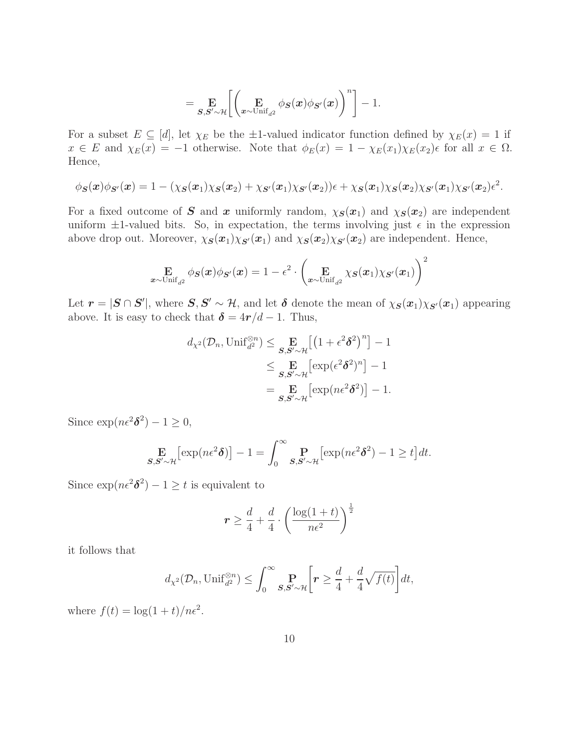$$
= \mathop{\mathbf{E}}_{\mathcal{S},\mathcal{S}^\prime \sim \mathcal{H}}\biggl[\biggl(\mathop{\mathbf{E}}_{\mathbf{x} \sim \text{Unif}_{d^2}} \phi_{\mathcal{S}}(\mathbf{x}) \phi_{\mathcal{S}^\prime}(\mathbf{x})\biggr)^n\biggr] - 1.
$$

For a subset  $E \subseteq [d]$ , let  $\chi_E$  be the  $\pm 1$ -valued indicator function defined by  $\chi_E(x) = 1$  if  $x \in E$  and  $\chi_E(x) = -1$  otherwise. Note that  $\phi_E(x) = 1 - \chi_E(x_1)\chi_E(x_2)\epsilon$  for all  $x \in \Omega$ . Hence,

$$
\phi_{\mathbf{S}}(\mathbf{x})\phi_{\mathbf{S}'}(\mathbf{x})=1-(\chi_{\mathbf{S}}(\mathbf{x}_1)\chi_{\mathbf{S}}(\mathbf{x}_2)+\chi_{\mathbf{S}'}(\mathbf{x}_1)\chi_{\mathbf{S}'}(\mathbf{x}_2))\epsilon+\chi_{\mathbf{S}}(\mathbf{x}_1)\chi_{\mathbf{S}}(\mathbf{x}_2)\chi_{\mathbf{S}'}(\mathbf{x}_1)\chi_{\mathbf{S}'}(\mathbf{x}_2)\epsilon^2.
$$

For a fixed outcome of S and x uniformly random,  $\chi_{\mathbf{S}}(x_1)$  and  $\chi_{\mathbf{S}}(x_2)$  are independent uniform  $\pm 1$ -valued bits. So, in expectation, the terms involving just  $\epsilon$  in the expression above drop out. Moreover,  $\chi_{\bm{S}}(\bm{x}_1)\chi_{\bm{S}'}(\bm{x}_1)$  and  $\chi_{\bm{S}}(\bm{x}_2)\chi_{\bm{S}'}(\bm{x}_2)$  are independent. Hence,

$$
\mathop{\mathbf{E}}_{\boldsymbol{x}\sim \text{Unif}_{d^2}} \phi_{\boldsymbol{S}}(\boldsymbol{x})\phi_{\boldsymbol{S}'}(\boldsymbol{x}) = 1 - \epsilon^2\cdot \left(\mathop{\mathbf{E}}_{\boldsymbol{x}\sim \text{Unif}_{d^2}} \chi_{\boldsymbol{S}}(\boldsymbol{x}_1)\chi_{\boldsymbol{S}'}(\boldsymbol{x}_1)\right)^2
$$

Let  $r = |S \cap S'|$ , where  $S, S' \sim H$ , and let  $\delta$  denote the mean of  $\chi_{S}(x_1)\chi_{S'}(x_1)$  appearing above. It is easy to check that  $\delta = 4r/d - 1$ . Thus,

$$
d_{\chi^2}(\mathcal{D}_n, \text{Unif}_{d^2}^{\otimes n}) \leq \mathop{\mathbf{E}}_{\mathcal{S}, \mathcal{S}' \sim \mathcal{H}} \left[ \left( 1 + \epsilon^2 \delta^2 \right)^n \right] - 1
$$
  

$$
\leq \mathop{\mathbf{E}}_{\mathcal{S}, \mathcal{S}' \sim \mathcal{H}} \left[ \exp(\epsilon^2 \delta^2)^n \right] - 1
$$
  

$$
= \mathop{\mathbf{E}}_{\mathcal{S}, \mathcal{S}' \sim \mathcal{H}} \left[ \exp(n\epsilon^2 \delta^2) \right] - 1.
$$

Since  $\exp(n\epsilon^2 \delta^2) - 1 \ge 0$ ,

$$
\mathop{\mathbf{E}}_{\mathbf{S},\mathbf{S}'\sim\mathcal{H}}\big[\exp(n\epsilon^2\boldsymbol{\delta})\big] - 1 = \int_0^\infty \mathop{\mathbf{P}}_{\mathbf{S},\mathbf{S}'\sim\mathcal{H}}\big[\exp(n\epsilon^2\boldsymbol{\delta}^2) - 1 \ge t\big]dt.
$$

Since  $\exp(n\epsilon^2 \delta^2) - 1 \ge t$  is equivalent to

$$
r \ge \frac{d}{4} + \frac{d}{4} \cdot \left(\frac{\log(1+t)}{n\epsilon^2}\right)^{\frac{1}{2}}
$$

it follows that

$$
d_{\chi^2}(\mathcal{D}_n, \mathrm{Unif}_{d^2}^{\otimes n}) \leq \int_0^\infty \mathop{\mathbf{P}}_{\mathcal{S}, \mathcal{S}' \sim \mathcal{H}} \bigg[ \mathbf{r} \geq \frac{d}{4} + \frac{d}{4} \sqrt{f(t)} \bigg] dt,
$$

where  $f(t) = \log(1+t)/n\epsilon^2$ .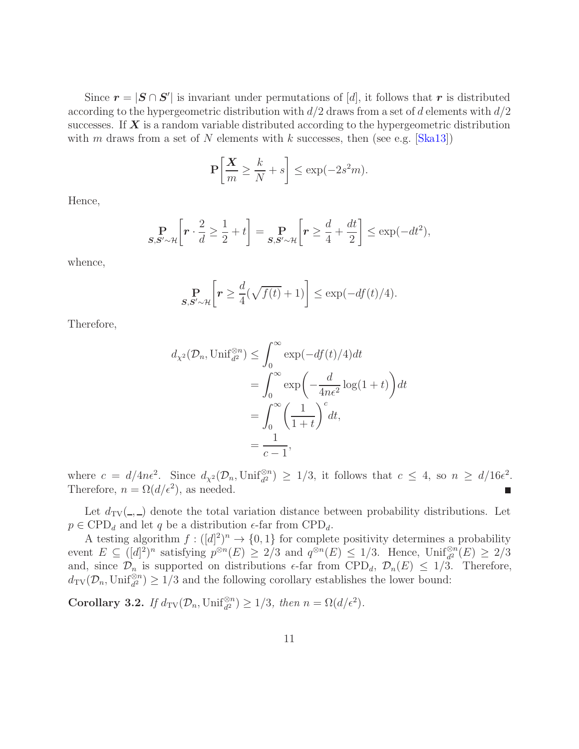<span id="page-10-0"></span>Since  $\mathbf{r} = |\mathbf{S} \cap \mathbf{S}'|$  is invariant under permutations of [d], it follows that r is distributed according to the hypergeometric distribution with  $d/2$  draws from a set of d elements with  $d/2$ successes. If  $\boldsymbol{X}$  is a random variable distributed according to the hypergeometric distribution with m draws from a set of N elements with k successes, then (see e.g.  $[Ska13]$ )

$$
\mathbf{P}\left[\frac{\mathbf{X}}{m} \ge \frac{k}{N} + s\right] \le \exp(-2s^2 m).
$$

Hence,

$$
\Pr_{\mathcal{S}, \mathcal{S}' \sim \mathcal{H}} \left[ \mathbf{r} \cdot \frac{2}{d} \ge \frac{1}{2} + t \right] = \Pr_{\mathcal{S}, \mathcal{S}' \sim \mathcal{H}} \left[ \mathbf{r} \ge \frac{d}{4} + \frac{dt}{2} \right] \le \exp(-dt^2),
$$

whence,

$$
\Pr_{\mathcal{S}, \mathcal{S}' \sim \mathcal{H}} \left[ \mathbf{r} \ge \frac{d}{4} (\sqrt{f(t)} + 1) \right] \le \exp(-df(t)/4).
$$

Therefore,

$$
d_{\chi^2}(\mathcal{D}_n, \text{Unif}_{d^2}^{\otimes n}) \le \int_0^\infty \exp(-df(t)/4)dt
$$
  
= 
$$
\int_0^\infty \exp\left(-\frac{d}{4n\epsilon^2}\log(1+t)\right)dt
$$
  
= 
$$
\int_0^\infty \left(\frac{1}{1+t}\right)^c dt,
$$
  
= 
$$
\frac{1}{c-1},
$$

where  $c = d/4n\epsilon^2$ . Since  $d_{\chi^2}(\mathcal{D}_n, \text{Unif}_{d^2}^{\otimes n}) \geq 1/3$ , it follows that  $c \leq 4$ , so  $n \geq d/16\epsilon^2$ . Therefore,  $n = \Omega(d/\epsilon^2)$ , as needed.

Let  $d_{TV}(\underline{\hspace{1cm}},\underline{\hspace{1cm}})$  denote the total variation distance between probability distributions. Let  $p \in \text{CPD}_d$  and let q be a distribution  $\epsilon$ -far from  $\text{CPD}_d$ .

A testing algorithm  $f: ([d]^2)^n \to \{0,1\}$  for complete positivity determines a probability event  $E \subseteq ([d]^2)^n$  satisfying  $p^{\otimes n}(E) \ge 2/3$  and  $q^{\otimes n}(E) \le 1/3$ . Hence,  $\text{Unif}_{d^2}^{\otimes n}(E) \ge 2/3$ and, since  $\mathcal{D}_n$  is supported on distributions  $\epsilon$ -far from CPD<sub>d</sub>,  $\mathcal{D}_n(E) \leq 1/3$ . Therefore,  $d_{\text{TV}}(\mathcal{D}_n, \text{Unif}_{d^2}^{\otimes n}) \ge 1/3$  and the following corollary establishes the lower bound:

**Corollary 3.2.** If  $d_{TV}(\mathcal{D}_n, \text{Unif}_{d^2}^{\otimes n}) \geq 1/3$ , then  $n = \Omega(d/\epsilon^2)$ .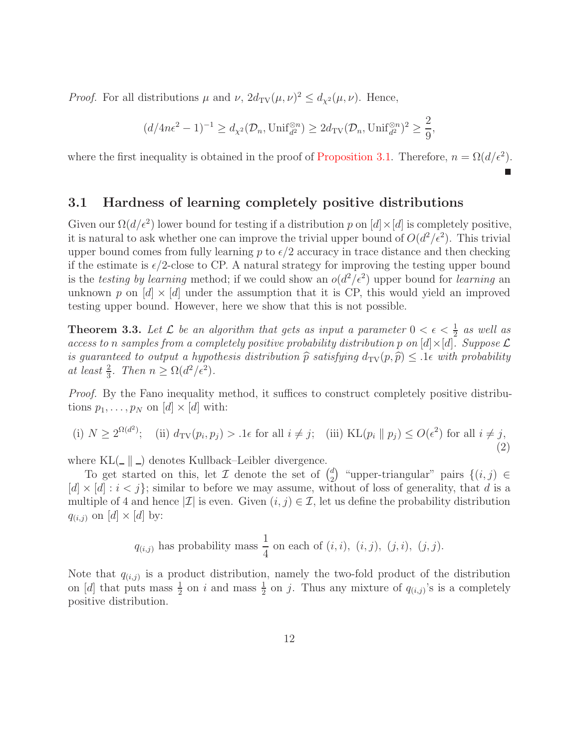*Proof.* For all distributions  $\mu$  and  $\nu$ ,  $2d_{\text{TV}}(\mu, \nu)^2 \leq d_{\chi^2}(\mu, \nu)$ . Hence,

$$
(d/4n\epsilon^2 - 1)^{-1} \ge d_{\chi^2}(\mathcal{D}_n, \mathrm{Unif}_{d^2}^{\otimes n}) \ge 2d_{\mathrm{TV}}(\mathcal{D}_n, \mathrm{Unif}_{d^2}^{\otimes n})^2 \ge \frac{2}{9},
$$

where the first inequality is obtained in the proof of [Proposition 3.1.](#page-8-0) Therefore,  $n = \Omega(d/\epsilon^2)$ .

#### 3.1 Hardness of learning completely positive distributions

Given our  $\Omega(d/\epsilon^2)$  lower bound for testing if a distribution p on  $[d] \times [d]$  is completely positive, it is natural to ask whether one can improve the trivial upper bound of  $O(d^2/\epsilon^2)$ . This trivial upper bound comes from fully learning p to  $\epsilon/2$  accuracy in trace distance and then checking if the estimate is  $\epsilon/2$ -close to CP. A natural strategy for improving the testing upper bound is the testing by learning method; if we could show an  $o(d^2/\epsilon^2)$  upper bound for learning an unknown p on  $[d] \times [d]$  under the assumption that it is CP, this would yield an improved testing upper bound. However, here we show that this is not possible.

**Theorem 3.3.** Let  $\mathcal{L}$  be an algorithm that gets as input a parameter  $0 < \epsilon < \frac{1}{2}$  as well as access to n samples from a completely positive probability distribution p on  $[d] \times [d]$ . Suppose  $\mathcal L$ is guaranteed to output a hypothesis distribution  $\hat{p}$  satisfying  $d_{TV}(p, \hat{p}) \leq 0.1\epsilon$  with probability at least  $\frac{2}{3}$ . Then  $n \geq \Omega(d^2/\epsilon^2)$ .

Proof. By the Fano inequality method, it suffices to construct completely positive distributions  $p_1, \ldots, p_N$  on  $[d] \times [d]$  with:

<span id="page-11-0"></span>(i) 
$$
N \ge 2^{\Omega(d^2)}
$$
; (ii)  $d_{\text{TV}}(p_i, p_j) > 0$  for all  $i \ne j$ ; (iii)  $\text{KL}(p_i || p_j) \le O(\epsilon^2)$  for all  $i \ne j$ , (2)

where  $KL(\_ \parallel \_ )$  denotes Kullback–Leibler divergence.

To get started on this, let  $\mathcal I$  denote the set of  $\binom{d}{2}$ <sup>d</sup>) "upper-triangular" pairs  $\{(i,j) \in$  $[d] \times [d] : i < j$ ; similar to before we may assume, without of loss of generality, that d is a multiple of 4 and hence  $|\mathcal{I}|$  is even. Given  $(i, j) \in \mathcal{I}$ , let us define the probability distribution  $q_{(i,j)}$  on  $[d] \times [d]$  by:

$$
q_{(i,j)}
$$
 has probability mass  $\frac{1}{4}$  on each of  $(i, i)$ ,  $(i, j)$ ,  $(j, i)$ ,  $(j, j)$ .

Note that  $q_{(i,j)}$  is a product distribution, namely the two-fold product of the distribution on [d] that puts mass  $\frac{1}{2}$  on i and mass  $\frac{1}{2}$  on j. Thus any mixture of  $q_{(i,j)}$ 's is a completely positive distribution.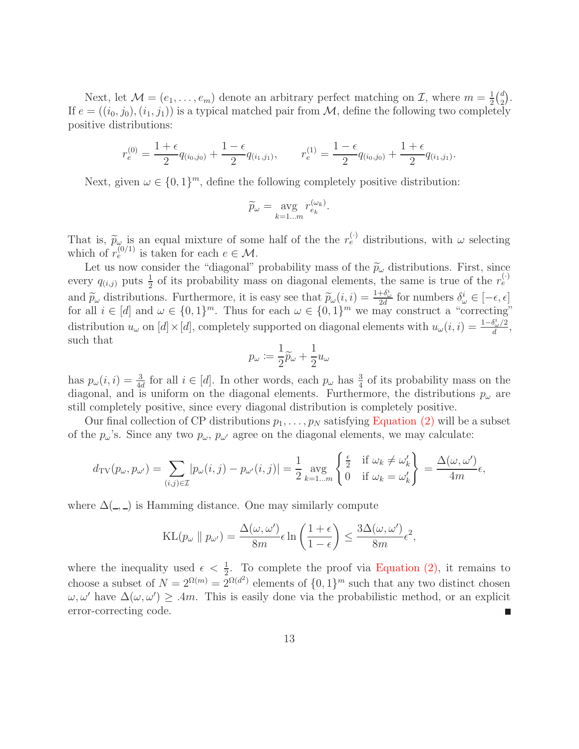Next, let  $\mathcal{M} = (e_1, \ldots, e_m)$  denote an arbitrary perfect matching on  $\mathcal{I}$ , where  $m = \frac{1}{2}$  $rac{1}{2}$  $\binom{d}{2}$  $\binom{d}{2}$ . If  $e = ((i_0, j_0), (i_1, j_1))$  is a typical matched pair from M, define the following two completely positive distributions:

$$
r_e^{(0)} = \frac{1+\epsilon}{2}q_{(i_0,j_0)} + \frac{1-\epsilon}{2}q_{(i_1,j_1)}, \qquad r_e^{(1)} = \frac{1-\epsilon}{2}q_{(i_0,j_0)} + \frac{1+\epsilon}{2}q_{(i_1,j_1)}.
$$

Next, given  $\omega \in \{0,1\}^m$ , define the following completely positive distribution:

$$
\widetilde{p}_{\omega} = \underset{k=1...m}{\text{avg}} r_{e_k}^{(\omega_k)}.
$$

That is,  $\tilde{p}_{\omega}$  is an equal mixture of some half of the the  $r_e^{(\cdot)}$  distributions, with  $\omega$  selecting which of  $r_e^{(0/1)}$  is taken for each  $e \in \mathcal{M}$ .

Let us now consider the "diagonal" probability mass of the  $\tilde{p}_{\omega}$  distributions. First, since every  $q_{(i,j)}$  puts  $\frac{1}{2}$  of its probability mass on diagonal elements, the same is true of the  $r_e^{(\cdot)}$ and  $\widetilde{p}_{\omega}$  distributions. Furthermore, it is easy see that  $\widetilde{p}_{\omega}(i, i) = \frac{1+\delta_{\omega}^{i}}{2d}$  for numbers  $\delta_{\omega}^{i} \in [-\epsilon, \epsilon]$ for all  $i \in [d]$  and  $\omega \in \{0,1\}^m$ . Thus for each  $\omega \in \{0,1\}^m$  we may construct a "correcting" distribution  $u_{\omega}$  on  $[d] \times [d]$ , completely supported on diagonal elements with  $u_{\omega}(i, i) = \frac{1-\delta_{\omega}^i}{d}$  $\frac{\partial \omega/2}{d},$ such that

$$
p_\omega \coloneqq \frac{1}{2}\widetilde{p}_\omega + \frac{1}{2}u_\omega
$$

has  $p_{\omega}(i, i) = \frac{3}{4d}$  for all  $i \in [d]$ . In other words, each  $p_{\omega}$  has  $\frac{3}{4}$  of its probability mass on the diagonal, and is uniform on the diagonal elements. Furthermore, the distributions  $p_{\omega}$  are still completely positive, since every diagonal distribution is completely positive.

Our final collection of CP distributions  $p_1, \ldots, p_N$  satisfying [Equation \(2\)](#page-11-0) will be a subset of the  $p_{\omega}$ 's. Since any two  $p_{\omega}$ ,  $p_{\omega'}$  agree on the diagonal elements, we may calculate:

$$
d_{\mathrm{TV}}(p_{\omega}, p_{\omega'}) = \sum_{(i,j)\in\mathcal{I}} |p_{\omega}(i,j) - p_{\omega'}(i,j)| = \frac{1}{2} \underset{k=1...m}{\mathrm{avg}} \left\{ \frac{\frac{\epsilon}{2}}{0} \quad \text{if } \omega_k \neq \omega'_k \right\} = \frac{\Delta(\omega, \omega')}{4m} \epsilon,
$$

where  $\Delta(\_ ,\_ )$  is Hamming distance. One may similarly compute

$$
KL(p_{\omega} \parallel p_{\omega'}) = \frac{\Delta(\omega, \omega')}{8m} \epsilon \ln \left( \frac{1+\epsilon}{1-\epsilon} \right) \le \frac{3\Delta(\omega, \omega')}{8m} \epsilon^2,
$$

where the inequality used  $\epsilon < \frac{1}{2}$ . To complete the proof via [Equation \(2\),](#page-11-0) it remains to choose a subset of  $N = 2^{\Omega(m)} = 2^{\Omega(d^2)}$  elements of  $\{0, 1\}^m$  such that any two distinct chosen  $\omega, \omega'$  have  $\Delta(\omega, \omega') \geq 0.4m$ . This is easily done via the probabilistic method, or an explicit error-correcting code. П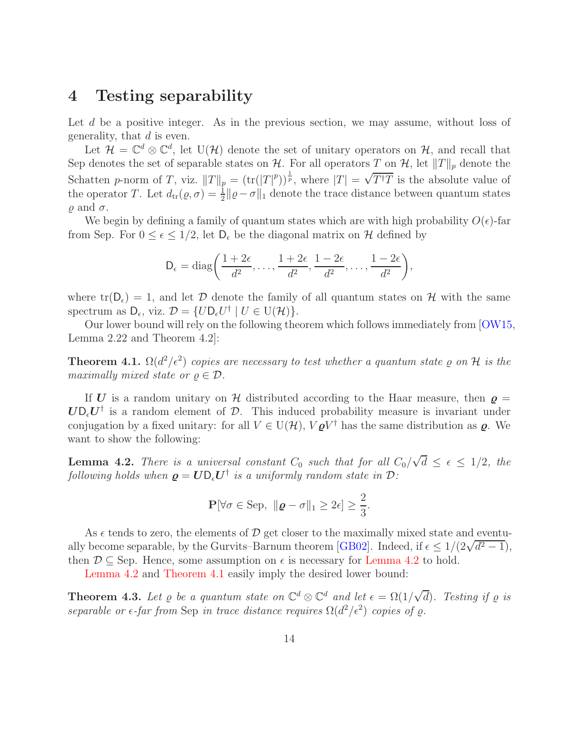### <span id="page-13-3"></span><span id="page-13-1"></span>4 Testing separability

Let d be a positive integer. As in the previous section, we may assume, without loss of generality, that  $d$  is even.

Let  $\mathcal{H} = \mathbb{C}^d \otimes \mathbb{C}^d$ , let  $U(\mathcal{H})$  denote the set of unitary operators on  $\mathcal{H}$ , and recall that Sep denotes the set of separable states on  $\mathcal{H}$ . For all operators T on  $\mathcal{H}$ , let  $||T||_p$  denote the Schatten p-norm of T, viz.  $||T||_p = (\text{tr}(|T|^p))^{\frac{1}{p}}$ , where  $|T| = \sqrt{T^{\dagger}T}$  is the absolute value of the operator T. Let  $d_{tr}(\varrho, \sigma) = \frac{1}{2} ||\varrho - \sigma||_1$  denote the trace distance between quantum states  $\rho$  and  $\sigma$ .

We begin by defining a family of quantum states which are with high probability  $O(\epsilon)$ -far from Sep. For  $0 \leq \epsilon \leq 1/2$ , let  $D_{\epsilon}$  be the diagonal matrix on H defined by

$$
D_{\epsilon} = \text{diag}\bigg(\frac{1+2\epsilon}{d^2},\ldots,\frac{1+2\epsilon}{d^2},\frac{1-2\epsilon}{d^2},\ldots,\frac{1-2\epsilon}{d^2}\bigg),
$$

where  $tr(D_{\epsilon}) = 1$ , and let  $D$  denote the family of all quantum states on  $H$  with the same spectrum as  $D_{\epsilon}$ , viz.  $\mathcal{D} = \{ U D_{\epsilon} U^{\dagger} \mid U \in U(\mathcal{H}) \}.$ 

<span id="page-13-0"></span>Our lower bound will rely on the following theorem which follows immediately from [\[OW15,](#page-18-5) Lemma 2.22 and Theorem 4.2]:

**Theorem 4.1.**  $\Omega(d^2/\epsilon^2)$  copies are necessary to test whether a quantum state  $\varrho$  on  $\mathcal{H}$  is the maximally mixed state or  $\rho \in \mathcal{D}$ .

If U is a random unitary on H distributed according to the Haar measure, then  $\rho =$  $U\mathsf{D}_{\epsilon}U^{\dagger}$  is a random element of  $D$ . This induced probability measure is invariant under conjugation by a fixed unitary: for all  $V \in U(H)$ ,  $V \varrho V^{\dagger}$  has the same distribution as  $\varrho$ . We want to show the following:

<span id="page-13-2"></span>**Lemma 4.2.** There is a universal constant  $C_0$  such that for all  $C_0/\sqrt{d} \leq \epsilon \leq 1/2$ , the following holds when  $\boldsymbol{\varrho} = \boldsymbol{U} \mathsf{D}_{\epsilon} \boldsymbol{U}^{\dagger}$  is a uniformly random state in  $\mathcal{D}$ :

$$
\mathbf{P}[\forall \sigma \in \text{Sep}, \ \|\boldsymbol{\varrho} - \sigma\|_1 \geq 2\epsilon] \geq \frac{2}{3}.
$$

As  $\epsilon$  tends to zero, the elements of D get closer to the maximally mixed state and eventu-ally become separable, by the Gurvits–Barnum theorem [\[GB02\]](#page-17-5). Indeed, if  $\epsilon \leq 1/(2\sqrt{d^2-1})$ , then  $\mathcal{D} \subseteq$  Sep. Hence, some assumption on  $\epsilon$  is necessary for [Lemma 4.2](#page-13-2) to hold.

[Lemma 4.2](#page-13-2) and [Theorem 4.1](#page-13-0) easily imply the desired lower bound:

**Theorem 4.3.** Let  $\varrho$  be a quantum state on  $\mathbb{C}^d \otimes \mathbb{C}^d$  and let  $\epsilon = \Omega(1/\sqrt{d})$ . Testing if  $\varrho$  is separable or  $\epsilon$ -far from Sep in trace distance requires  $\Omega(d^2/\epsilon^2)$  copies of  $\varrho$ .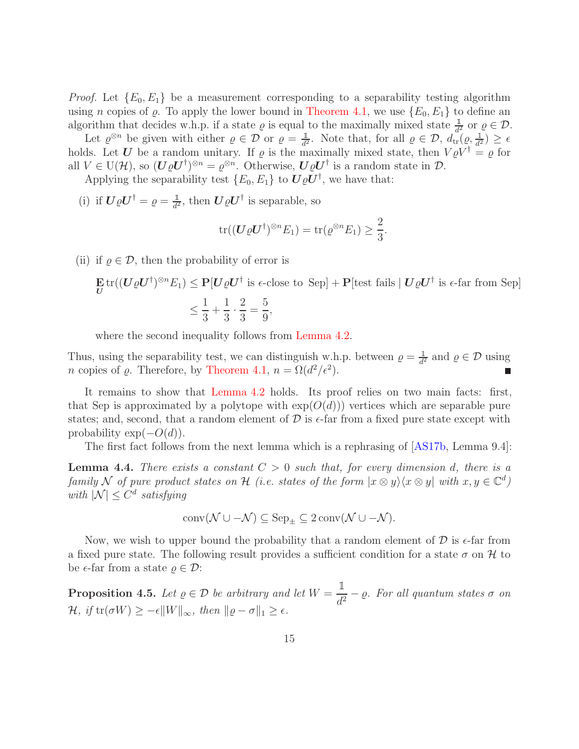<span id="page-14-2"></span>*Proof.* Let  ${E_0, E_1}$  be a measurement corresponding to a separability testing algorithm using *n* copies of  $\varrho$ . To apply the lower bound in [Theorem 4.1,](#page-13-0) we use  $\{E_0, E_1\}$  to define an algorithm that decides w.h.p. if a state  $\varrho$  is equal to the maximally mixed state  $\frac{1}{d^2}$  or  $\varrho \in \mathcal{D}$ .

Let  $\varrho^{\otimes n}$  be given with either  $\varrho \in \mathcal{D}$  or  $\varrho = \frac{1}{d^2}$ . Note that, for all  $\varrho \in \mathcal{D}$ ,  $d_{\text{tr}}(\varrho, \frac{1}{d^2}) \geq \epsilon$ holds. Let U be a random unitary. If  $\varrho$  is the maximally mixed state, then  $V \varrho V^{\dagger} = \varrho$  for all  $V \in U(H)$ , so  $(\mathbf{U}\varrho \mathbf{U}^{\dagger})^{\otimes n} = \varrho^{\otimes n}$ . Otherwise,  $\mathbf{U}\varrho \mathbf{U}^{\dagger}$  is a random state in  $\mathcal{D}$ .

Applying the separability test  $\{E_0, E_1\}$  to  $\boldsymbol{U}\varrho \boldsymbol{U}^{\dagger}$ , we have that:

(i) if  $\boldsymbol{U}\varrho\boldsymbol{U}^{\dagger}=\varrho=\frac{\mathbb{1}}{d^2}$ , then  $\boldsymbol{U}\varrho\boldsymbol{U}^{\dagger}$  is separable, so

$$
\operatorname{tr}((\boldsymbol{U}\varrho\boldsymbol{U}^{\dagger})^{\otimes n}E_1)=\operatorname{tr}(\varrho^{\otimes n}E_1)\geq \frac{2}{3}.
$$

(ii) if  $\rho \in \mathcal{D}$ , then the probability of error is

$$
\mathbf{E} \operatorname{tr}((\mathbf{U}\varrho \mathbf{U}^{\dagger})^{\otimes n} E_1) \le \mathbf{P}[\mathbf{U}\varrho \mathbf{U}^{\dagger} \text{ is } \epsilon\text{-close to Sep}] + \mathbf{P}[\text{test fails} \mid \mathbf{U}\varrho \mathbf{U}^{\dagger} \text{ is } \epsilon\text{-far from Sep}]
$$
  

$$
\le \frac{1}{3} + \frac{1}{3} \cdot \frac{2}{3} = \frac{5}{9},
$$

where the second inequality follows from [Lemma 4.2.](#page-13-2)

Thus, using the separability test, we can distinguish w.h.p. between  $\varrho = \frac{1}{d^2}$  and  $\varrho \in \mathcal{D}$  using *n* copies of  $\varrho$ . Therefore, by [Theorem 4.1,](#page-13-0)  $n = \Omega(d^2/\epsilon^2)$ .

It remains to show that [Lemma 4.2](#page-13-2) holds. Its proof relies on two main facts: first, that Sep is approximated by a polytope with  $exp(O(d)))$  vertices which are separable pure states; and, second, that a random element of  $\mathcal D$  is  $\epsilon$ -far from a fixed pure state except with probability  $\exp(-O(d)).$ 

<span id="page-14-1"></span>The first fact follows from the next lemma which is a rephrasing of [\[AS17b,](#page-17-4) Lemma 9.4]:

**Lemma 4.4.** There exists a constant  $C > 0$  such that, for every dimension d, there is a family N of pure product states on H (i.e. states of the form  $|x \otimes y\rangle \langle x \otimes y|$  with  $x, y \in \mathbb{C}^d$ ) with  $|\mathcal{N}| \leq C^d$  satisfying

$$
conv(\mathcal{N} \cup -\mathcal{N}) \subseteq \mathrm{Sep}_{\pm} \subseteq 2 conv(\mathcal{N} \cup -\mathcal{N}).
$$

Now, we wish to upper bound the probability that a random element of  $\mathcal D$  is  $\epsilon$ -far from a fixed pure state. The following result provides a sufficient condition for a state  $\sigma$  on  $\mathcal{H}$  to be  $\epsilon$ -far from a state  $\rho \in \mathcal{D}$ :

<span id="page-14-0"></span>**Proposition 4.5.** Let  $\varrho \in \mathcal{D}$  be arbitrary and let  $W = \frac{1}{d^2} - \varrho$ . For all quantum states  $\sigma$  on  $\mathcal{H}, \text{ if } \text{tr}(\sigma W) \geq -\epsilon \|W\|_{\infty}, \text{ then } \|\varrho - \sigma\|_1 \geq \epsilon.$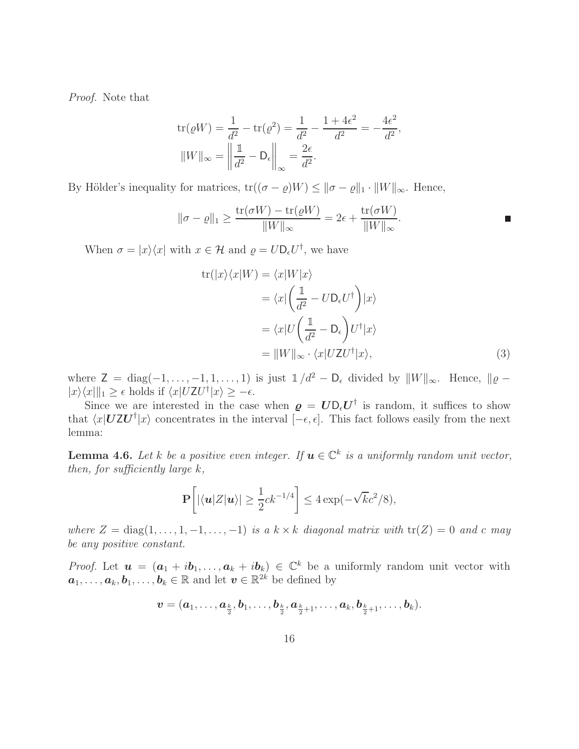Proof. Note that

$$
\text{tr}(\varrho W) = \frac{1}{d^2} - \text{tr}(\varrho^2) = \frac{1}{d^2} - \frac{1 + 4\epsilon^2}{d^2} = -\frac{4\epsilon^2}{d^2},
$$
  

$$
||W||_{\infty} = \left\| \frac{1}{d^2} - D_{\epsilon} \right\|_{\infty} = \frac{2\epsilon}{d^2}.
$$

By Hölder's inequality for matrices,  $tr((\sigma - \varrho)W) \le ||\sigma - \varrho||_1 \cdot ||W||_{\infty}$ . Hence,

$$
\|\sigma - \varrho\|_1 \ge \frac{\text{tr}(\sigma W) - \text{tr}(\varrho W)}{\|W\|_{\infty}} = 2\epsilon + \frac{\text{tr}(\sigma W)}{\|W\|_{\infty}}.
$$

When  $\sigma = |x\rangle\langle x|$  with  $x \in \mathcal{H}$  and  $\rho = U \mathsf{D}_{\epsilon} U^{\dagger}$ , we have

<span id="page-15-1"></span>
$$
\text{tr}(|x\rangle\langle x|W) = \langle x|W|x\rangle
$$
  
\n
$$
= \langle x|\left(\frac{1}{d^2} - U\mathbf{D}_{\epsilon}U^{\dagger}\right)|x\rangle
$$
  
\n
$$
= \langle x|U\left(\frac{1}{d^2} - \mathbf{D}_{\epsilon}\right)U^{\dagger}|x\rangle
$$
  
\n
$$
= ||W||_{\infty} \cdot \langle x|UZU^{\dagger}|x\rangle,
$$
 (3)

where  $Z = diag(-1, \ldots, -1, 1, \ldots, 1)$  is just  $\mathbb{1}/d^2 - D_{\epsilon}$  divided by  $||W||_{\infty}$ . Hence,  $||\varrho |x\rangle\langle x|\|_1 \geq \epsilon$  holds if  $\langle x|UZU^{\dagger}|x\rangle \geq -\epsilon$ .

Since we are interested in the case when  $\rho = U D_{\epsilon} U^{\dagger}$  is random, it suffices to show that  $\langle x|UZU^{\dagger}|x\rangle$  concentrates in the interval  $[-\epsilon, \epsilon]$ . This fact follows easily from the next lemma:

<span id="page-15-0"></span>**Lemma 4.6.** Let k be a positive even integer. If  $u \in \mathbb{C}^k$  is a uniformly random unit vector, then, for sufficiently large  $k$ ,

$$
\mathbf{P}\bigg[|\langle \boldsymbol{u} | Z | \boldsymbol{u} \rangle| \ge \frac{1}{2} c k^{-1/4} \bigg] \le 4 \exp(-\sqrt{k}c^2/8),
$$

where  $Z = \text{diag}(1, \ldots, 1, -1, \ldots, -1)$  is a  $k \times k$  diagonal matrix with  $tr(Z) = 0$  and c may be any positive constant.

*Proof.* Let  $u = (a_1 + ib_1, \ldots, a_k + ib_k) \in \mathbb{C}^k$  be a uniformly random unit vector with  $a_1, \ldots, a_k, b_1, \ldots, b_k \in \mathbb{R}$  and let  $v \in \mathbb{R}^{2k}$  be defined by

$$
\boldsymbol{v}=(\boldsymbol{a}_1,\ldots,\boldsymbol{a}_{\frac{k}{2}},\boldsymbol{b}_1,\ldots,\boldsymbol{b}_{\frac{k}{2}},\boldsymbol{a}_{\frac{k}{2}+1},\ldots,\boldsymbol{a}_k,\boldsymbol{b}_{\frac{k}{2}+1},\ldots,\boldsymbol{b}_k).
$$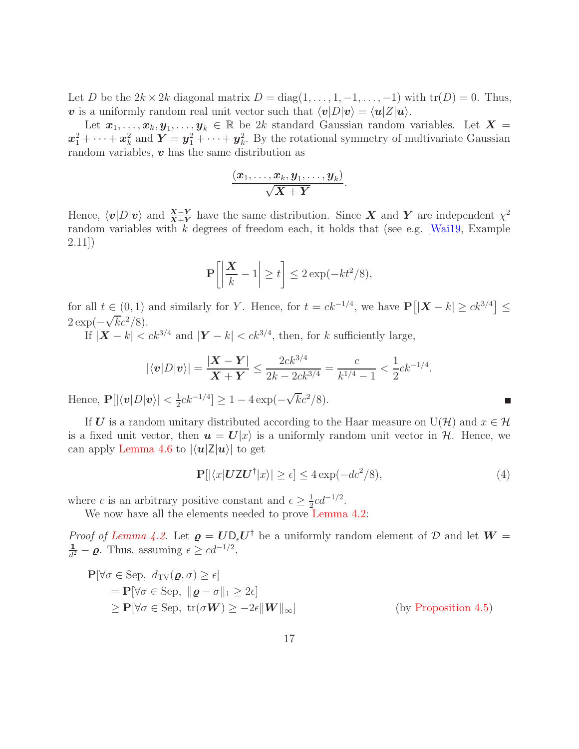<span id="page-16-1"></span>Let D be the  $2k \times 2k$  diagonal matrix  $D = diag(1, \ldots, 1, -1, \ldots, -1)$  with  $tr(D) = 0$ . Thus, v is a uniformly random real unit vector such that  $\langle v|D|v\rangle = \langle u|Z|u\rangle$ .

Let  $x_1, \ldots, x_k, y_1, \ldots, y_k \in \mathbb{R}$  be 2k standard Gaussian random variables. Let  $X =$  $x_1^2 + \cdots + x_k^2$  and  $Y = y_1^2 + \cdots + y_k^2$ . By the rotational symmetry of multivariate Gaussian random variables,  $\boldsymbol{v}$  has the same distribution as

$$
\frac{(\boldsymbol{x}_1,\dots,\boldsymbol{x}_k,\boldsymbol{y}_1,\dots,\boldsymbol{y}_k)}{\sqrt{\boldsymbol{X}+\boldsymbol{Y}}}.
$$

Hence,  $\langle v|D|v\rangle$  and  $\frac{X-Y}{X+Y}$  have the same distribution. Since X and Y are independent  $\chi^2$ random variables with  $k$  degrees of freedom each, it holds that (see e.g. [\[Wai19,](#page-18-11) Example 2.11])

$$
\mathbf{P}\left[\left|\frac{\mathbf{X}}{k}-1\right|\geq t\right] \leq 2\exp(-kt^2/8),
$$

for all  $t \in (0,1)$  and similarly for Y. Hence, for  $t = ck^{-1/4}$ , we have  $\mathbf{P}\left[|\mathbf{X} - k| \ge ck^{3/4}\right] \le$  $2 \exp(-\sqrt{kc^2}/8).$ 

If  $|\mathbf{X} - k| < ck^{3/4}$  and  $|\mathbf{Y} - k| < ck^{3/4}$ , then, for k sufficiently large,

$$
|\langle \mathbf{v} | D | \mathbf{v} \rangle| = \frac{|\mathbf{X} - \mathbf{Y}|}{\mathbf{X} + \mathbf{Y}} \le \frac{2ck^{3/4}}{2k - 2ck^{3/4}} = \frac{c}{k^{1/4} - 1} < \frac{1}{2}ck^{-1/4}.
$$

Hence,  $\mathbf{P}[|\langle \boldsymbol{v}|D|\boldsymbol{v}\rangle| < \frac{1}{2}$  $\frac{1}{2}ck^{-1/4}] \geq 1 - 4\exp(-\sqrt{k}c^2/8).$ 

If U is a random unitary distributed according to the Haar measure on  $U(\mathcal{H})$  and  $x \in \mathcal{H}$ is a fixed unit vector, then  $u = U|x\rangle$  is a uniformly random unit vector in H. Hence, we can apply [Lemma 4.6](#page-15-0) to  $|\langle \mathbf{u} | \mathbf{Z} | \mathbf{u} \rangle|$  to get

$$
\mathbf{P}[|\langle x|\mathbf{U}\mathbf{Z}\mathbf{U}^{\dagger}|x\rangle| \geq \epsilon] \leq 4\exp(-dc^2/8),\tag{4}
$$

<span id="page-16-0"></span>П

where c is an arbitrary positive constant and  $\epsilon \geq \frac{1}{2}$  $\frac{1}{2}cd^{-1/2}$ .

We now have all the elements needed to prove [Lemma 4.2:](#page-13-2)

*Proof of [Lemma 4.2.](#page-13-2)* Let  $\boldsymbol{\varrho} = \boldsymbol{U} \boldsymbol{D}_{\epsilon} \boldsymbol{U}^{\dagger}$  be a uniformly random element of  $\mathcal D$  and let  $\boldsymbol{W} =$  $\frac{1}{d^2} - \varrho$ . Thus, assuming  $\epsilon \geq cd^{-1/2}$ ,

$$
\mathbf{P}[\forall \sigma \in \text{Sep}, d_{\text{TV}}(\varrho, \sigma) \ge \epsilon] \n= \mathbf{P}[\forall \sigma \in \text{Sep}, \|\varrho - \sigma\|_1 \ge 2\epsilon] \n\ge \mathbf{P}[\forall \sigma \in \text{Sep}, \text{tr}(\sigma \mathbf{W}) \ge -2\epsilon ||\mathbf{W}||_{\infty}] \quad \text{(by Proposition 4.5)}
$$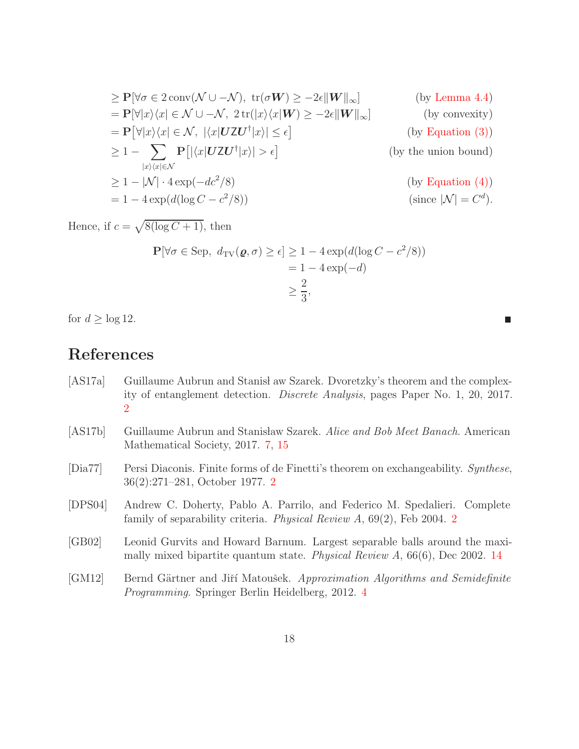$$
\geq P[\forall \sigma \in 2 \text{ conv}(\mathcal{N} \cup -\mathcal{N}), \text{ tr}(\sigma W) \geq -2\epsilon ||W||_{\infty}] \qquad \text{(by Lemma 4.4)}
$$
\n
$$
= P[\forall |x\rangle\langle x| \in \mathcal{N} \cup -\mathcal{N}, 2 \text{ tr}(|x\rangle\langle x|W) \geq -2\epsilon ||W||_{\infty}] \qquad \text{(by convexity)}
$$
\n
$$
= P[\forall |x\rangle\langle x| \in \mathcal{N}, |\langle x|UZU^{\dagger}|x\rangle| \leq \epsilon] \qquad \text{(by Equation (3))}
$$
\n
$$
\geq 1 - \sum_{|x\rangle\langle x| \in \mathcal{N}} P[|\langle x|UZU^{\dagger}|x\rangle| > \epsilon] \qquad \text{(by Equation (4))}
$$
\n
$$
\geq 1 - |\mathcal{N}| \cdot 4 \exp(-dc^{2}/8) \qquad \text{(by Equation (4))}
$$
\n
$$
= 1 - 4 \exp(d(\log C - c^{2}/8)) \qquad \text{(since } |\mathcal{N}| = C^{d}).
$$

Hence, if  $c = \sqrt{8(\log C + 1)}$ , then

$$
\mathbf{P}[\forall \sigma \in \text{Sep}, \ d_{\text{TV}}(\varrho, \sigma) \ge \epsilon] \ge 1 - 4 \exp(d(\log C - c^2/8))
$$

$$
= 1 - 4 \exp(-d)
$$

$$
\ge \frac{2}{3},
$$

 $\blacksquare$ 

for  $d \geq \log 12$ .

## References

<span id="page-17-5"></span><span id="page-17-4"></span><span id="page-17-3"></span><span id="page-17-2"></span><span id="page-17-1"></span><span id="page-17-0"></span>[AS17a] Guillaume Aubrun and Stanis aw Szarek. Dvoretzky's theorem and the complexity of entanglement detection. Discrete Analysis, pages Paper No. 1, 20, 2017. [2](#page-1-0) [AS17b] Guillaume Aubrun and Stanisław Szarek. Alice and Bob Meet Banach. American Mathematical Society, 2017. [7,](#page-6-0) [15](#page-14-2) [Dia77] Persi Diaconis. Finite forms of de Finetti's theorem on exchangeability. Synthese, 36(2):271–281, October 1977. [2](#page-1-0) [DPS04] Andrew C. Doherty, Pablo A. Parrilo, and Federico M. Spedalieri. Complete family of separability criteria. Physical Review A, 69(2), Feb 2004. [2](#page-1-0) [GB02] Leonid Gurvits and Howard Barnum. Largest separable balls around the maximally mixed bipartite quantum state. Physical Review A, 66(6), Dec 2002. [14](#page-13-3) [GM12] Bernd Gärtner and Jiří Matoušek. Approximation Algorithms and Semidefinite Programming. Springer Berlin Heidelberg, 2012. [4](#page-3-4)